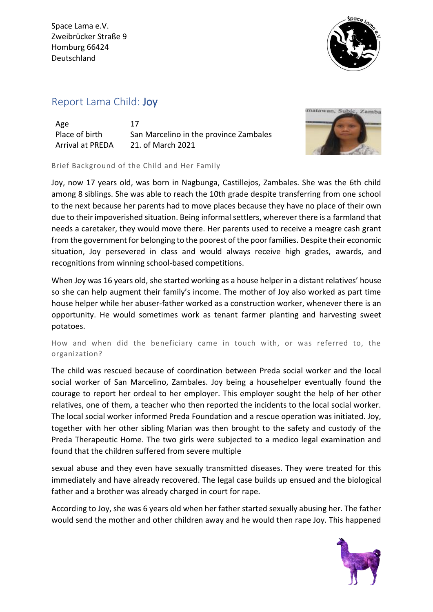

## Report Lama Child: Joy

| Age                     | 17                                     |
|-------------------------|----------------------------------------|
| Place of birth          | San Marcelino in the province Zambales |
| <b>Arrival at PREDA</b> | 21. of March 2021                      |



Brief Background of the Child and Her Family

Joy, now 17 years old, was born in Nagbunga, Castillejos, Zambales. She was the 6th child among 8 siblings. She was able to reach the 10th grade despite transferring from one school to the next because her parents had to move places because they have no place of their own due to their impoverished situation. Being informal settlers, wherever there is a farmland that needs a caretaker, they would move there. Her parents used to receive a meagre cash grant from the government for belonging to the poorest of the poor families. Despite their economic situation, Joy persevered in class and would always receive high grades, awards, and recognitions from winning school-based competitions.

When Joy was 16 years old, she started working as a house helper in a distant relatives' house so she can help augment their family's income. The mother of Joy also worked as part time house helper while her abuser-father worked as a construction worker, whenever there is an opportunity. He would sometimes work as tenant farmer planting and harvesting sweet potatoes.

How and when did the beneficiary came in touch with, or was referred to, the organization?

The child was rescued because of coordination between Preda social worker and the local social worker of San Marcelino, Zambales. Joy being a househelper eventually found the courage to report her ordeal to her employer. This employer sought the help of her other relatives, one of them, a teacher who then reported the incidents to the local social worker. The local social worker informed Preda Foundation and a rescue operation was initiated. Joy, together with her other sibling Marian was then brought to the safety and custody of the Preda Therapeutic Home. The two girls were subjected to a medico legal examination and found that the children suffered from severe multiple

sexual abuse and they even have sexually transmitted diseases. They were treated for this immediately and have already recovered. The legal case builds up ensued and the biological father and a brother was already charged in court for rape.

According to Joy, she was 6 years old when her father started sexually abusing her. The father would send the mother and other children away and he would then rape Joy. This happened

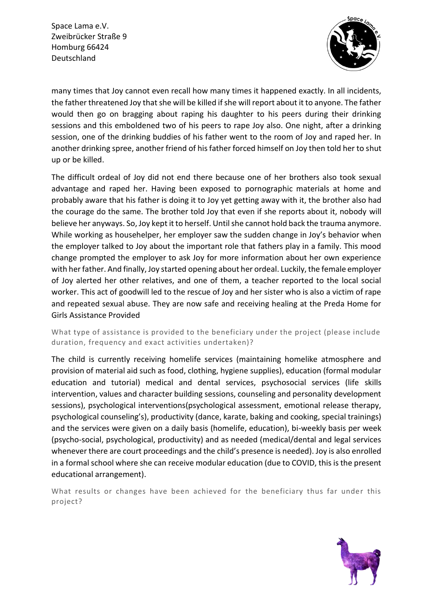

many times that Joy cannot even recall how many times it happened exactly. In all incidents, the father threatened Joy that she will be killed if she will report about it to anyone. The father would then go on bragging about raping his daughter to his peers during their drinking sessions and this emboldened two of his peers to rape Joy also. One night, after a drinking session, one of the drinking buddies of his father went to the room of Joy and raped her. In another drinking spree, another friend of his father forced himself on Joy then told her to shut up or be killed.

The difficult ordeal of Joy did not end there because one of her brothers also took sexual advantage and raped her. Having been exposed to pornographic materials at home and probably aware that his father is doing it to Joy yet getting away with it, the brother also had the courage do the same. The brother told Joy that even if she reports about it, nobody will believe her anyways. So, Joy kept it to herself. Until she cannot hold back the trauma anymore. While working as househelper, her employer saw the sudden change in Joy's behavior when the employer talked to Joy about the important role that fathers play in a family. This mood change prompted the employer to ask Joy for more information about her own experience with her father. And finally, Joy started opening about her ordeal. Luckily, the female employer of Joy alerted her other relatives, and one of them, a teacher reported to the local social worker. This act of goodwill led to the rescue of Joy and her sister who is also a victim of rape and repeated sexual abuse. They are now safe and receiving healing at the Preda Home for Girls Assistance Provided

What type of assistance is provided to the beneficiary under the project (please include duration, frequency and exact activities undertaken)?

The child is currently receiving homelife services (maintaining homelike atmosphere and provision of material aid such as food, clothing, hygiene supplies), education (formal modular education and tutorial) medical and dental services, psychosocial services (life skills intervention, values and character building sessions, counseling and personality development sessions), psychological interventions(psychological assessment, emotional release therapy, psychological counseling's), productivity (dance, karate, baking and cooking, special trainings) and the services were given on a daily basis (homelife, education), bi-weekly basis per week (psycho-social, psychological, productivity) and as needed (medical/dental and legal services whenever there are court proceedings and the child's presence is needed). Joy is also enrolled in a formal school where she can receive modular education (due to COVID, this is the present educational arrangement).

What results or changes have been achieved for the beneficiary thus far under this project?

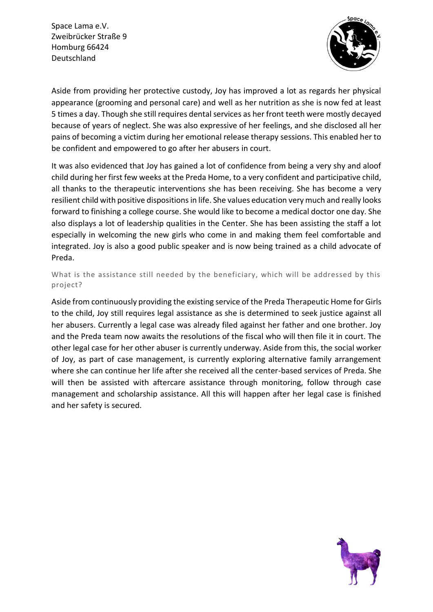

Aside from providing her protective custody, Joy has improved a lot as regards her physical appearance (grooming and personal care) and well as her nutrition as she is now fed at least 5 times a day. Though she still requires dental services as her front teeth were mostly decayed because of years of neglect. She was also expressive of her feelings, and she disclosed all her pains of becoming a victim during her emotional release therapy sessions. This enabled her to be confident and empowered to go after her abusers in court.

It was also evidenced that Joy has gained a lot of confidence from being a very shy and aloof child during her first few weeks at the Preda Home, to a very confident and participative child, all thanks to the therapeutic interventions she has been receiving. She has become a very resilient child with positive dispositions in life. She values education very much and really looks forward to finishing a college course. She would like to become a medical doctor one day. She also displays a lot of leadership qualities in the Center. She has been assisting the staff a lot especially in welcoming the new girls who come in and making them feel comfortable and integrated. Joy is also a good public speaker and is now being trained as a child advocate of Preda.

What is the assistance still needed by the beneficiary, which will be addressed by this project?

Aside from continuously providing the existing service of the Preda Therapeutic Home for Girls to the child, Joy still requires legal assistance as she is determined to seek justice against all her abusers. Currently a legal case was already filed against her father and one brother. Joy and the Preda team now awaits the resolutions of the fiscal who will then file it in court. The other legal case for her other abuser is currently underway. Aside from this, the social worker of Joy, as part of case management, is currently exploring alternative family arrangement where she can continue her life after she received all the center-based services of Preda. She will then be assisted with aftercare assistance through monitoring, follow through case management and scholarship assistance. All this will happen after her legal case is finished and her safety is secured.

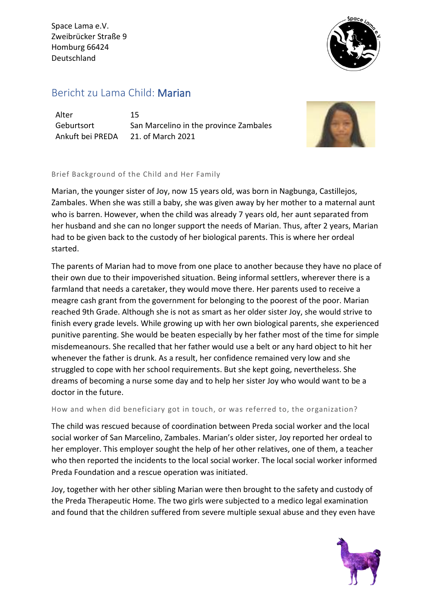

## Bericht zu Lama Child: Marian

Alter 15

Geburtsort San Marcelino in the province Zambales Ankuft bei PREDA 21. of March 2021



## Brief Background of the Child and Her Family

Marian, the younger sister of Joy, now 15 years old, was born in Nagbunga, Castillejos, Zambales. When she was still a baby, she was given away by her mother to a maternal aunt who is barren. However, when the child was already 7 years old, her aunt separated from her husband and she can no longer support the needs of Marian. Thus, after 2 years, Marian had to be given back to the custody of her biological parents. This is where her ordeal started.

The parents of Marian had to move from one place to another because they have no place of their own due to their impoverished situation. Being informal settlers, wherever there is a farmland that needs a caretaker, they would move there. Her parents used to receive a meagre cash grant from the government for belonging to the poorest of the poor. Marian reached 9th Grade. Although she is not as smart as her older sister Joy, she would strive to finish every grade levels. While growing up with her own biological parents, she experienced punitive parenting. She would be beaten especially by her father most of the time for simple misdemeanours. She recalled that her father would use a belt or any hard object to hit her whenever the father is drunk. As a result, her confidence remained very low and she struggled to cope with her school requirements. But she kept going, nevertheless. She dreams of becoming a nurse some day and to help her sister Joy who would want to be a doctor in the future.

How and when did beneficiary got in touch, or was referred to, the organization?

The child was rescued because of coordination between Preda social worker and the local social worker of San Marcelino, Zambales. Marian's older sister, Joy reported her ordeal to her employer. This employer sought the help of her other relatives, one of them, a teacher who then reported the incidents to the local social worker. The local social worker informed Preda Foundation and a rescue operation was initiated.

Joy, together with her other sibling Marian were then brought to the safety and custody of the Preda Therapeutic Home. The two girls were subjected to a medico legal examination and found that the children suffered from severe multiple sexual abuse and they even have

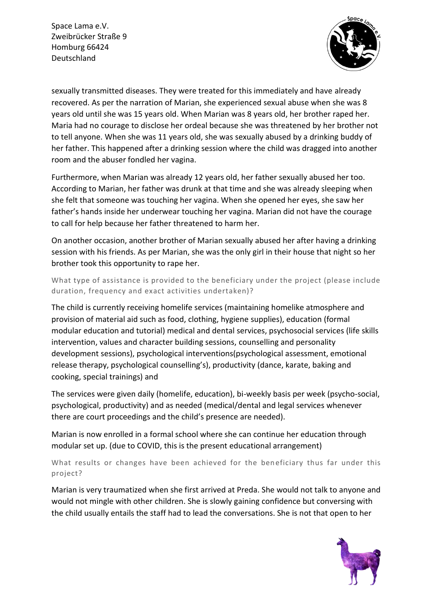

sexually transmitted diseases. They were treated for this immediately and have already recovered. As per the narration of Marian, she experienced sexual abuse when she was 8 years old until she was 15 years old. When Marian was 8 years old, her brother raped her. Maria had no courage to disclose her ordeal because she was threatened by her brother not to tell anyone. When she was 11 years old, she was sexually abused by a drinking buddy of her father. This happened after a drinking session where the child was dragged into another room and the abuser fondled her vagina.

Furthermore, when Marian was already 12 years old, her father sexually abused her too. According to Marian, her father was drunk at that time and she was already sleeping when she felt that someone was touching her vagina. When she opened her eyes, she saw her father's hands inside her underwear touching her vagina. Marian did not have the courage to call for help because her father threatened to harm her.

On another occasion, another brother of Marian sexually abused her after having a drinking session with his friends. As per Marian, she was the only girl in their house that night so her brother took this opportunity to rape her.

What type of assistance is provided to the beneficiary under the project (please include duration, frequency and exact activities undertaken)?

The child is currently receiving homelife services (maintaining homelike atmosphere and provision of material aid such as food, clothing, hygiene supplies), education (formal modular education and tutorial) medical and dental services, psychosocial services (life skills intervention, values and character building sessions, counselling and personality development sessions), psychological interventions(psychological assessment, emotional release therapy, psychological counselling's), productivity (dance, karate, baking and cooking, special trainings) and

The services were given daily (homelife, education), bi-weekly basis per week (psycho-social, psychological, productivity) and as needed (medical/dental and legal services whenever there are court proceedings and the child's presence are needed).

Marian is now enrolled in a formal school where she can continue her education through modular set up. (due to COVID, this is the present educational arrangement)

What results or changes have been achieved for the beneficiary thus far under this project?

Marian is very traumatized when she first arrived at Preda. She would not talk to anyone and would not mingle with other children. She is slowly gaining confidence but conversing with the child usually entails the staff had to lead the conversations. She is not that open to her